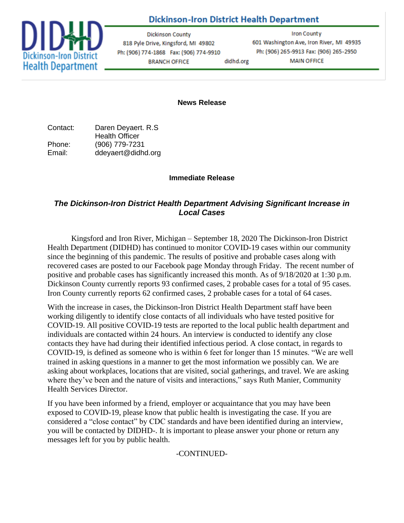## **Dickinson-Iron District Health Department**



**Dickinson County** 818 Pyle Drive, Kingsford, MI 49802 Ph: (906) 774-1868 Fax: (906) 774-9910 **BRANCH OFFICE** didhd.org

**Iron County** 601 Washington Ave, Iron River, MI 49935 Ph: (906) 265-9913 Fax: (906) 265-2950 **MAIN OFFICE** 

**News Release**

Contact: Daren Deyaert. R.S Health Officer Phone: (906) 779-7231 Email: ddeyaert@didhd.org

## **Immediate Release**

## *The Dickinson-Iron District Health Department Advising Significant Increase in Local Cases*

Kingsford and Iron River, Michigan – September 18, 2020 The Dickinson-Iron District Health Department (DIDHD) has continued to monitor COVID-19 cases within our community since the beginning of this pandemic. The results of positive and probable cases along with recovered cases are posted to our Facebook page Monday through Friday. The recent number of positive and probable cases has significantly increased this month. As of 9/18/2020 at 1:30 p.m. Dickinson County currently reports 93 confirmed cases, 2 probable cases for a total of 95 cases. Iron County currently reports 62 confirmed cases, 2 probable cases for a total of 64 cases.

With the increase in cases, the Dickinson-Iron District Health Department staff have been working diligently to identify close contacts of all individuals who have tested positive for COVID-19. All positive COVID-19 tests are reported to the local public health department and individuals are contacted within 24 hours. An interview is conducted to identify any close contacts they have had during their identified infectious period. A close contact, in regards to COVID-19, is defined as someone who is within 6 feet for longer than 15 minutes. "We are well trained in asking questions in a manner to get the most information we possibly can. We are asking about workplaces, locations that are visited, social gatherings, and travel. We are asking where they've been and the nature of visits and interactions," says Ruth Manier, Community Health Services Director.

If you have been informed by a friend, employer or acquaintance that you may have been exposed to COVID-19, please know that public health is investigating the case. If you are considered a "close contact" by CDC standards and have been identified during an interview, you will be contacted by DIDHD-. It is important to please answer your phone or return any messages left for you by public health.

-CONTINUED-